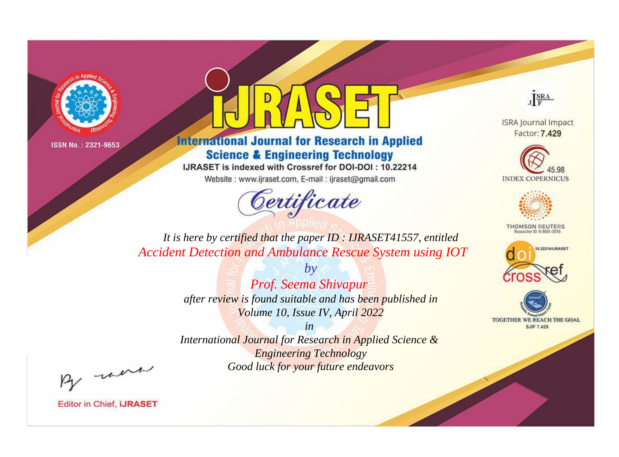



**International Journal for Research in Applied Science & Engineering Technology** 

IJRASET is indexed with Crossref for DOI-DOI: 10.22214

Website: www.ijraset.com, E-mail: ijraset@gmail.com



JERA

**ISRA Journal Impact** Factor: 7.429





**THOMSON REUTERS** 



TOGETHER WE REACH THE GOAL **SJIF 7.429** 

It is here by certified that the paper ID: IJRASET41557, entitled **Accident Detection and Ambulance Rescue System using IOT** 

> $by$ Prof. Seema Shivapur after review is found suitable and has been published in Volume 10, Issue IV, April 2022

> $in$ International Journal for Research in Applied Science & **Engineering Technology** Good luck for your future endeavors

By morn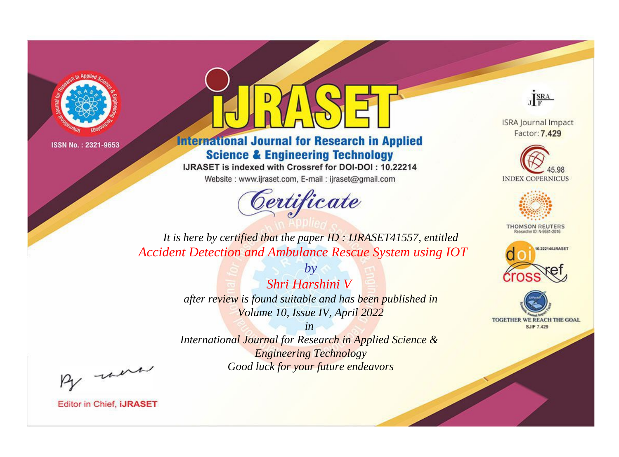



**International Journal for Research in Applied Science & Engineering Technology** 

IJRASET is indexed with Crossref for DOI-DOI: 10.22214

Website: www.ijraset.com, E-mail: ijraset@gmail.com



JERA

**ISRA Journal Impact** Factor: 7.429





**THOMSON REUTERS** 



TOGETHER WE REACH THE GOAL **SJIF 7.429** 

*It is here by certified that the paper ID : IJRASET41557, entitled Accident Detection and Ambulance Rescue System using IOT*

> *Shri Harshini V after review is found suitable and has been published in Volume 10, Issue IV, April 2022*

*by*

*in* 

*International Journal for Research in Applied Science & Engineering Technology Good luck for your future endeavors*

By morn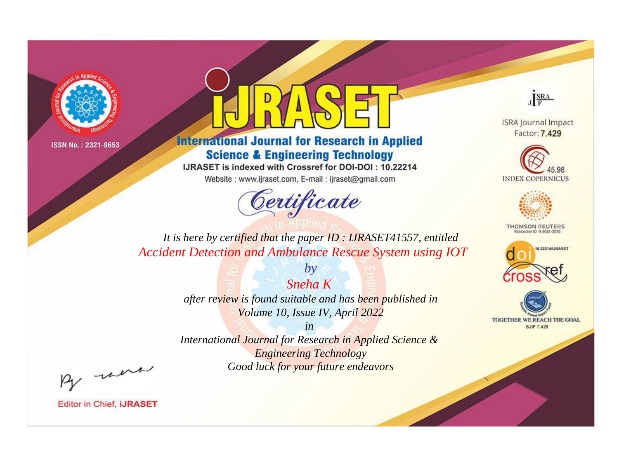



**International Journal for Research in Applied Science & Engineering Technology** 

IJRASET is indexed with Crossref for DOI-DOI: 10.22214

Website: www.ijraset.com, E-mail: ijraset@gmail.com



JERA

**ISRA Journal Impact** Factor: 7.429





**THOMSON REUTERS** 



TOGETHER WE REACH THE GOAL **SJIF 7.429** 

*It is here by certified that the paper ID : IJRASET41557, entitled Accident Detection and Ambulance Rescue System using IOT*

> *Sneha K after review is found suitable and has been published in Volume 10, Issue IV, April 2022*

*by*

*in International Journal for Research in Applied Science &* 

*Engineering Technology Good luck for your future endeavors*

By morn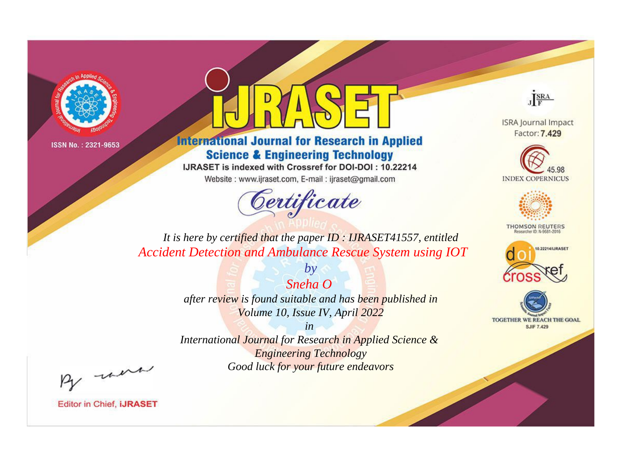



**International Journal for Research in Applied Science & Engineering Technology** 

IJRASET is indexed with Crossref for DOI-DOI: 10.22214

Website: www.ijraset.com, E-mail: ijraset@gmail.com



JERA

**ISRA Journal Impact** Factor: 7.429





**THOMSON REUTERS** 



TOGETHER WE REACH THE GOAL **SJIF 7.429** 

It is here by certified that the paper ID: IJRASET41557, entitled **Accident Detection and Ambulance Rescue System using IOT** 

> Sneha O after review is found suitable and has been published in Volume 10, Issue IV, April 2022

 $by$ 

 $in$ International Journal for Research in Applied Science & **Engineering Technology** Good luck for your future endeavors

By morn